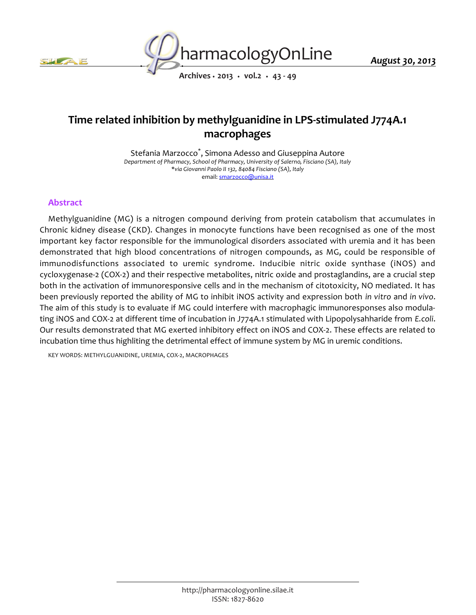



*Archives • 2013 • vol.2 • 43 - 49*

# *Time related inhibition by methylguanidine in LPS-stimulated J774A.1 macrophages*

*Stefania Marzocco\* , Simona Adesso and Giuseppina Autore Department of Pharmacy, School of Pharmacy, University of Salerno, Fisciano (SA), Italy \*via Giovanni Paolo II 132, 84084 Fisciano (SA), Italy email: smarzocco@unisa.it*

## *Abstract*

*Methylguanidine (MG) is a nitrogen compound deriving from protein catabolism that accumulates in Chronic kidney disease (CKD). Changes in monocyte functions have been recognised as one of the most important key factor responsible for the immunological disorders associated with uremia and it has been demonstrated that high blood concentrations of nitrogen compounds, as MG, could be responsible of immunodisfunctions associated to uremic syndrome. Inducibie nitric oxide synthase (iNOS) and cycloxygenase-2 (COX-2) and their respective metabolites, nitric oxide and prostaglandins, are a crucial step both in the activation of immunoresponsive cells and in the mechanism of citotoxicity, NO mediated. It has been previously reported the ability of MG to inhibit iNOS activity and expression both in vitro and in vivo. The aim of this study is to evaluate if MG could interfere with macrophagic immunoresponses also modula*ting iNOS and COX-2 at different time of incubation in J774A.1 stimulated with Lipopolysahharide from *E.coli*. *Our results demonstrated that MG exerted inhibitory effect on iNOS and COX-2. These effects are related to incubation time thus highliting the detrimental effect of immune system by MG in uremic conditions.*

*KEY WORDS: METHYLGUANIDINE, UREMIA, COX-2, MACROPHAGES*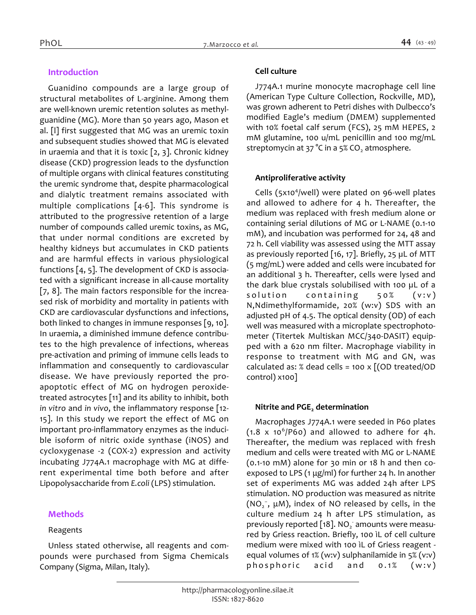# *Introduction*

*Guanidino compounds are a large group of structural metabolites of L-arginine. Among them are well-known uremic retention solutes as methylguanidine (MG). More than 50 years ago, Mason et al. [l] first suggested that MG was an uremic toxin and subsequent studies showed that MG is elevated in uraemia and that it is toxic [2, 3]. Chronic kidney disease (CKD) progression leads to the dysfunction of multiple organs with clinical features constituting the uremic syndrome that, despite pharmacological and dialytic treatment remains associated with multiple complications [4-6]. This syndrome is attributed to the progressive retention of a large number of compounds called uremic toxins, as MG, that under normal conditions are excreted by healthy kidneys but accumulates in CKD patients and are harmful effects in various physiological functions [4, 5]. The development of CKD is associated with a significant increase in all-cause mortality [7, 8]. The main factors responsible for the increased risk of morbidity and mortality in patients with CKD are cardiovascular dysfunctions and infections, both linked to changes in immune responses [9, 10]. In uraemia, a diminished immune defence contributes to the high prevalence of infections, whereas pre-activation and priming of immune cells leads to inflammation and consequently to cardiovascular disease. We have previously reported the proapoptotic effect of MG on hydrogen peroxidetreated astrocytes [11] and its ability to inhibit, both in vitro and in vivo, the inflammatory response [12- 15]. In this study we report the effect of MG on important pro-inflammatory enzymes as the inducible isoform of nitric oxide synthase (iNOS) and cycloxygenase -2 (COX-2) expression and activity incubating J774A.1 macrophage with MG at different experimental time both before and after Lipopolysaccharide from E.coli (LPS) stimulation.*

#### *Methods*

#### *Reagents*

*Unless stated otherwise, all reagents and compounds were purchased from Sigma Chemicals Company (Sigma, Milan, Italy).*

#### *Cell culture*

*J774A.1 murine monocyte macrophage cell line (American Type Culture Collection, Rockville, MD), was grown adherent to Petri dishes with Dulbecco's modified Eagle's medium (DMEM) supplemented with 10% foetal calf serum (FCS), 25 mM HEPES, 2 mM glutamine, 100 u/mL penicillin and 100 mg/mL streptomycin at 37 °C in a 5% CO<sup>2</sup> atmosphere.*

#### *Antiproliferative activity*

*Cells (5x10<sup>4</sup> /well) were plated on 96-well plates and allowed to adhere for 4 h. Thereafter, the medium was replaced with fresh medium alone or containing serial dilutions of MG or L-NAME (0.1-10 mM), and incubation was performed for 24, 48 and 72 h. Cell viability was assessed using the MTT assay as previously reported [16, 17]. Briefly, 25 µL of MTT (5 mg/mL) were added and cells were incubated for an additional 3 h. Thereafter, cells were lysed and the dark blue crystals solubilised with 100 µL of a solution containing 50% (v:v) N,Ndimethylformamide, 20% (w:v) SDS with an adjusted pH of 4.5. The optical density (OD) of each well was measured with a microplate spectrophotometer (Titertek Multiskan MCC/340-DASIT) equipped with a 620 nm filter. Macrophage viability in response to treatment with MG and GN, was calculated as: % dead cells = 100 x [(OD treated/OD control) x100]*

# *Nitrite and PGE<sup>2</sup> determination*

*Macrophages J774A.1 were seeded in P60 plates (1.8 x 10<sup>6</sup> /P60) and allowed to adhere for 4h. Thereafter, the medium was replaced with fresh medium and cells were treated with MG or L-NAME (0.1-10 mM) alone for 30 min or 18 h and then coexposed to LPS (1 μg/ml) for further 24 h. In another set of experiments MG was added 24h after LPS stimulation. NO production was measured as nitrite (NO<sup>2</sup> − , μM), index of NO released by cells, in the culture medium 24 h after LPS stimulation, as previously reported [18]. NO<sup>2</sup> - amounts were measured by Griess reaction. Briefly, 100 ìL of cell culture medium were mixed with 100 ìL of Griess reagent equal volumes of 1% (w:v) sulphanilamide in 5% (v:v) phosphoric acid and 0.1% (w:v)*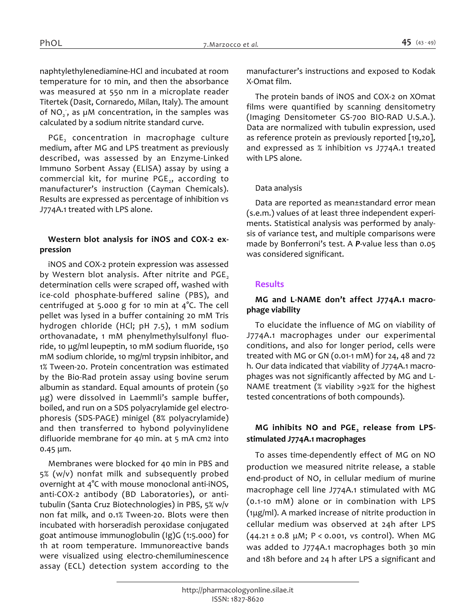*was measured at 550 nm in a microplate reader Titertek (Dasit, Cornaredo, Milan, Italy). The amount of NO<sup>2</sup> - , as µM concentration, in the samples was calculated by a sodium nitrite standard curve.*

*PGE<sup>2</sup> concentration in macrophage culture medium, after MG and LPS treatment as previously described, was assessed by an Enzyme-Linked Immuno Sorbent Assay (ELISA) assay by using a commercial kit, for murine PGE<sup>2</sup> , according to manufacturer's instruction (Cayman Chemicals). Results are expressed as percentage of inhibition vs J774A.1 treated with LPS alone.*

#### *Western blot analysis for iNOS and COX-2 expression*

*iNOS and COX-2 protein expression was assessed*  by Western blot analysis. After nitrite and PGE, *determination cells were scraped off, washed with ice-cold phosphate-buffered saline (PBS), and centrifuged at 5.000 g for 10 min at 4°C. The cell pellet was lysed in a buffer containing 20 mM Tris hydrogen chloride (HCl; pH 7.5), 1 mM sodium orthovanadate, 1 mM phenylmethylsulfonyl fluoride, 10 μg/ml leupeptin, 10 mM sodium fluoride, 150 mM sodium chloride, 10 mg/ml trypsin inhibitor, and 1% Tween-20. Protein concentration was estimated by the Bio-Rad protein assay using bovine serum albumin as standard. Equal amounts of protein (50 μg) were dissolved in Laemmli's sample buffer, boiled, and run on a SDS polyacrylamide gel electrophoresis (SDS-PAGE) minigel (8% polyacrylamide) and then transferred to hybond polyvinylidene difluoride membrane for 40 min. at 5 mA cm2 into 0.45 μm.*

*Membranes were blocked for 40 min in PBS and 5% (w/v) nonfat milk and subsequently probed overnight at 4°C with mouse monoclonal anti-iNOS, anti-COX-2 antibody (BD Laboratories), or antitubulin (Santa Cruz Biotechnologies) in PBS, 5% w/v non fat milk, and 0.1% Tween-20. Blots were then incubated with horseradish peroxidase conjugated goat antimouse immunoglobulin (Ig)G (1:5.000) for 1h at room temperature. Immunoreactive bands were visualized using electro-chemiluminescence assay (ECL) detection system according to the* 

*manufacturer's instructions and exposed to Kodak X-Omat film.* 

*The protein bands of iNOS and COX-2 on XOmat films were quantified by scanning densitometry (Imaging Densitometer GS-700 BIO-RAD U.S.A.). Data are normalized with tubulin expression, used as reference protein as previously reported [19,20], and expressed as % inhibition vs J774A.1 treated with LPS alone.*

#### *Data analysis*

*Data are reported as mean±standard error mean (s.e.m.) values of at least three independent experiments. Statistical analysis was performed by analysis of variance test, and multiple comparisons were made by Bonferroni's test. A P-value less than 0.05 was considered significant.*

## *Results*

#### *MG and L-NAME don't affect J774A.1 macrophage viability*

*To elucidate the influence of MG on viability of J774A.1 macrophages under our experimental conditions, and also for longer period, cells were treated with MG or GN (0.01-1 mM) for 24, 48 and 72 h. Our data indicated that viability of J774A.1 macrophages was not significantly affected by MG and L-NAME treatment (% viability >92% for the highest tested concentrations of both compounds).*

# *MG inhibits NO and PGE<sup>2</sup> release from LPSstimulated J774A.1 macrophages*

*To asses time-dependently effect of MG on NO production we measured nitrite release, a stable end-product of NO, in cellular medium of murine macrophage cell line J774A.1 stimulated with MG (0.1-10 mM) alone or in combination with LPS (1μg/ml). A marked increase of nitrite production in cellular medium was observed at 24h after LPS (44.21 ± 0.8 μM; P < 0.001, vs control). When MG was added to J774A.1 macrophages both 30 min and 18h before and 24 h after LPS a significant and*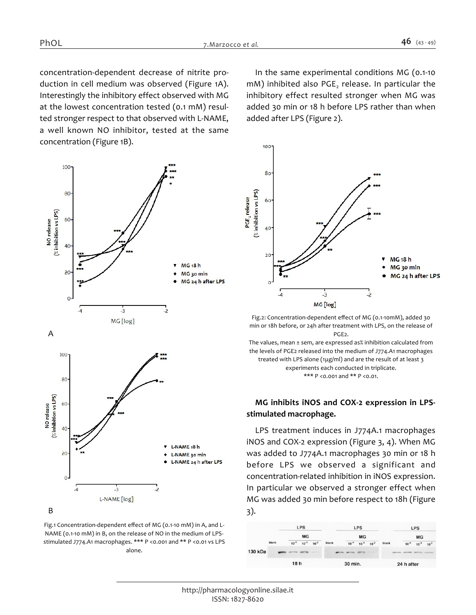*concentration-dependent decrease of nitrite production in cell medium was observed (Figure 1A). Interestingly the inhibitory effect observed with MG at the lowest concentration tested (0.1 mM) resulted stronger respect to that observed with L-NAME, a well known NO inhibitor, tested at the same concentration (Figure 1B).*



*Fig.1 Concentration-dependent effect of MG (0.1-10 mM) in A, and L-NAME (0.1-10 mM) in B, on the release of NO in the medium of LPSstimulated J774.A1 macrophages. \*\*\* P <0.001 and \*\* P <0.01 vs LPS alone.*

*In the same experimental conditions MG (0.1-10 mM) inhibited also PGE<sup>2</sup> release. In particular the inhibitory effect resulted stronger when MG was added 30 min or 18 h before LPS rather than when added after LPS (Figure 2).*



*Fig.2: Concentration-dependent effect of MG (0.1-10mM), added 30 min or 18h before, or 24h after treatment with LPS, on the release of PGE2.*

*The values, mean ± sem, are expressed as% inhibition calculated from the levels of PGE2 released into the medium of J774.A1 macrophages treated with LPS alone (1μg/ml) and are the result of at least 3 experiments each conducted in triplicate. \*\*\* P <0.001 and \*\* P <0.01.*

## *MG inhibits iNOS and COX-2 expression in LPSstimulated macrophage.*

*LPS treatment induces in J774A.1 macrophages iNOS and COX-2 expression (Figure 3, 4). When MG was added to J774A.1 macrophages 30 min or 18 h before LPS we observed a significant and concentration-related inhibition in iNOS expression. In particular we observed a stronger effect when MG was added 30 min before respect to 18h (Figure 3).*

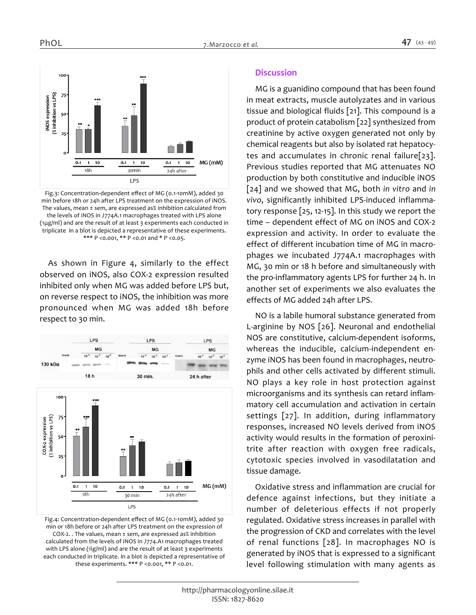

*Fig.3: Concentration-dependent effect of MG (0.1-10mM), added 30 min before 18h or 24h after LPS treatment on the expression of iNOS. The values, mean ± sem, are expressed as% inhibition calculated from the levels of iNOS in J774A.1 macrophages treated with LPS alone (1μg/ml) and are the result of at least 3 experiments each conducted in triplicate In a blot is depicted a representative of these experiments. \*\*\* P <0.001, \*\* P <0.01 and \* P <0.05.*

*As shown in Figure 4, similarly to the effect observed on iNOS, also COX-2 expression resulted inhibited only when MG was added before LPS but, on reverse respect to iNOS, the inhibition was more pronounced when MG was added 18h before respect to 30 min.*



*Fig.4: Concentration-dependent effect of MG (0.1-10mM), added 30 min or 18h before or 24h after LPS treatment on the expression of COX-2. . The values, mean ± sem, are expressed as% inhibition calculated from the levels of iNOS in J774.A1 macrophages treated with LPS alone (1ìg/ml) and are the result of at least 3 experiments each conducted in triplicate. In a blot is depicted a representative of these experiments. \*\*\* P <0.001, \*\* P <0.01.*

#### *Discussion*

*MG is a guanidino compound that has been found in meat extracts, muscle autolyzates and in various tissue and biological fluids [21]. This compound is a product of protein catabolism [22] synthesized from creatinine by active oxygen generated not only by chemical reagents but also by isolated rat hepatocytes and accumulates in chronic renal failure[23]. Previous studies reported that MG attenuates NO production by both constitutive and inducible iNOS [24] and we showed that MG, both in vitro and in vivo, significantly inhibited LPS-induced inflammatory response [25, 12-15]. In this study we report the time – dependent effect of MG on iNOS and COX-2 expression and activity. In order to evaluate the effect of different incubation time of MG in macrophages we incubated J774A.1 macrophages with MG, 30 min or 18 h before and simultaneously with the pro-inflammatory agents LPS for further 24 h. In another set of experiments we also evaluates the effects of MG added 24h after LPS.*

*NO is a labile humoral substance generated from L-arginine by NOS [26]. Neuronal and endothelial NOS are constitutive, calcium-dependent isoforms, whereas the inducible, calcium-independent enzyme iNOS has been found in macrophages, neutrophils and other cells activated by different stimuli. NO plays a key role in host protection against microorganisms and its synthesis can retard inflammatory cell accumulation and activation in certain settings [27]. In addition, during inflammatory responses, increased NO levels derived from iNOS activity would results in the formation of peroxinitrite after reaction with oxygen free radicals, cytotoxic species involved in vasodilatation and tissue damage.*

*Oxidative stress and inflammation are crucial for defence against infections, but they initiate a number of deleterious effects if not properly regulated. Oxidative stress increases in parallel with the progression of CKD and correlates with the level of renal functions [28]. In macrophages NO is generated by iNOS that is expressed to a significant level following stimulation with many agents as*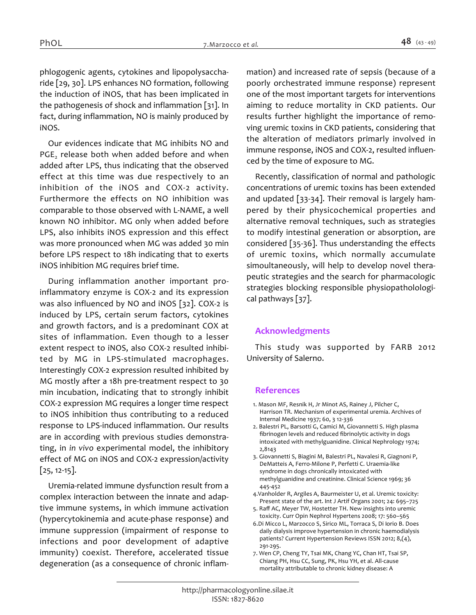*phlogogenic agents, cytokines and lipopolysaccharide [29, 30]. LPS enhances NO formation, following the induction of iNOS, that has been implicated in the pathogenesis of shock and inflammation [31]. In fact, during inflammation, NO is mainly produced by iNOS.*

*Our evidences indicate that MG inhibits NO and PGE<sup>2</sup> release both when added before and when added after LPS, thus indicating that the observed effect at this time was due respectively to an inhibition of the iNOS and COX-2 activity. Furthermore the effects on NO inhibition was comparable to those observed with L-NAME, a well known NO inhibitor. MG only when added before LPS, also inhibits iNOS expression and this effect was more pronounced when MG was added 30 min before LPS respect to 18h indicating that to exerts iNOS inhibition MG requires brief time.*

*During inflammation another important proinflammatory enzyme is COX-2 and its expression was also influenced by NO and iNOS [32]. COX-2 is induced by LPS, certain serum factors, cytokines and growth factors, and is a predominant COX at sites of inflammation. Even though to a lesser extent respect to iNOS, also COX-2 resulted inhibited by MG in LPS-stimulated macrophages. Interestingly COX-2 expression resulted inhibited by MG mostly after a 18h pre-treatment respect to 30 min incubation, indicating that to strongly inhibit COX-2 expression MG requires a longer time respect to iNOS inhibition thus contributing to a reduced response to LPS-induced inflammation. Our results are in according with previous studies demonstrating, in in vivo experimental model, the inhibitory effect of MG on iNOS and COX-2 expression/activity [25, 12-15].*

*Uremia-related immune dysfunction result from a complex interaction between the innate and adaptive immune systems, in which immune activation (hypercytokinemia and acute-phase response) and immune suppression (impairment of response to infections and poor development of adaptive immunity) coexist. Therefore, accelerated tissue degeneration (as a consequence of chronic inflam-* *mation) and increased rate of sepsis (because of a poorly orchestrated immune response) represent one of the most important targets for interventions aiming to reduce mortality in CKD patients. Our results further highlight the importance of removing uremic toxins in CKD patients, considering that the alteration of mediators primarly involved in immune response, iNOS and COX-2, resulted influenced by the time of exposure to MG.*

*Recently, classification of normal and pathologic concentrations of uremic toxins has been extended and updated [33-34]. Their removal is largely hampered by their physicochemical properties and alternative removal techniques, such as strategies to modify intestinal generation or absorption, are considered [35-36]. Thus understanding the effects of uremic toxins, which normally accumulate simoultaneously, will help to develop novel therapeutic strategies and the search for pharmacologic strategies blocking responsible physiopatholological pathways [37].*

#### *Acknowledgments*

*This study was supported by FARB 2012 University of Salerno.*

#### *References*

- *1. Mason MF, Resnik H, Jr Minot AS, Rainey J, Pilcher C, Harrison TR. Mechanism of experimental uremia. Archives of Internal Medicine 1937; 60, 3 12-336*
- *2. Balestri PL, Barsotti G, Camici M, Giovannetti S. High plasma fibrinogen levels and reduced fibrinolytic activity in dogs intoxicated with methylguanidine. Clinical Nephrology 1974; 2,8143*
- *3. Giovannetti S, Biagini M, Balestri PL, Navalesi R, Giagnoni P, DeMatteis A, Ferro-Milone P, Perfetti C. Uraemia-like syndrome in dogs chronically intoxicated with methylguanidine and creatinine. Clinical Science 1969; 36 445-452*
- *4.Vanholder R, Argiles A, Baurmeister U, et al. Uremic toxicity: Present state of the art. Int J Artif Organs 2001; 24: 695–725*
- *5. Raff AC, Meyer TW, Hostetter TH. New insights into uremic toxicity. Curr Opin Nephrol Hypertens 2008; 17: 560–565*
- *6.Di Micco L, Marzocco S, Sirico ML, Torraca S, Di Iorio B. Does daily dialysis improve hypertension in chronic haemodialysis patients? Current Hypertension Reviews ISSN 2012; 8,(4), 291-295.*
- *7. Wen CP, Cheng TY, Tsai MK, Chang YC, Chan HT, Tsai SP, Chiang PH, Hsu CC, Sung, PK, Hsu YH, et al. All-cause mortality attributable to chronic kidney disease: A*